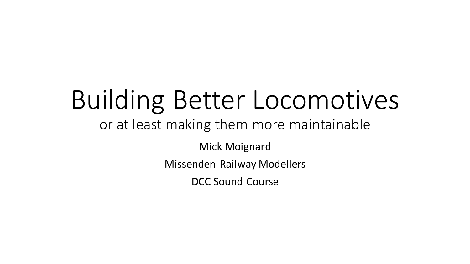# Building Better Locomotives

#### or at least making them more maintainable

Mick Moignard

Missenden Railway Modellers

DCC Sound Course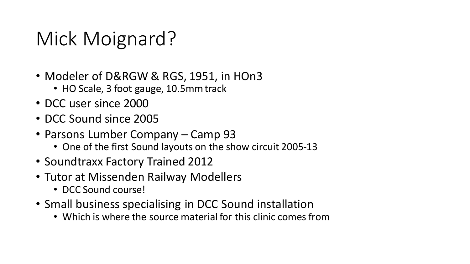# Mick Moignard?

- Modeler of D&RGW & RGS, 1951, in HOn3
	- HO Scale, 3 foot gauge, 10.5mm track
- DCC user since 2000
- DCC Sound since 2005
- Parsons Lumber Company Camp 93
	- One of the first Sound layouts on the show circuit 2005-13
- Soundtraxx Factory Trained 2012
- Tutor at Missenden Railway Modellers
	- DCC Sound course!
- Small business specialising in DCC Sound installation
	- Which is where the source material for this clinic comes from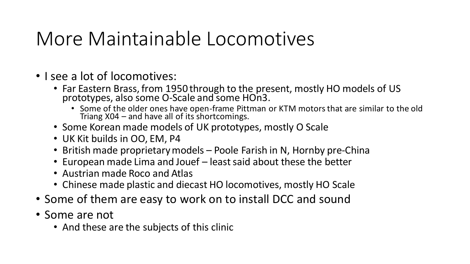#### More Maintainable Locomotives

- I see a lot of locomotives:
	- Far Eastern Brass, from 1950 through to the present, mostly HO models of US prototypes, also some O-Scale and some HOn3.
		- Some of the older ones have open-frame Pittman or KTM motors that are similar to the old Triang X04 – and have all of its shortcomings.
	- Some Korean made models of UK prototypes, mostly O Scale
	- UK Kit builds in OO, EM, P4
	- British made proprietary models Poole Farish in N, Hornby pre-China
	- European made Lima and Jouef least said about these the better
	- Austrian made Roco and Atlas
	- Chinese made plastic and diecast HO locomotives, mostly HO Scale
- Some of them are easy to work on to install DCC and sound
- Some are not
	- And these are the subjects of this clinic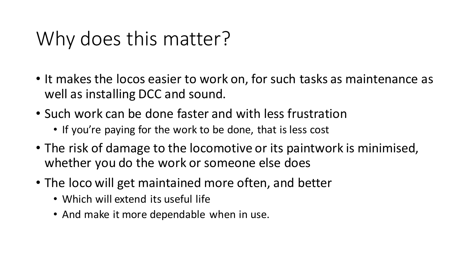# Why does this matter?

- It makes the locos easier to work on, for such tasks as maintenance as well as installing DCC and sound.
- Such work can be done faster and with less frustration
	- If you're paying for the work to be done, that is less cost
- The risk of damage to the locomotive or its paintwork is minimised, whether you do the work or someone else does
- The loco will get maintained more often, and better
	- Which will extend its useful life
	- And make it more dependable when in use.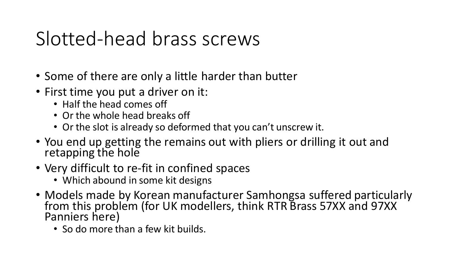# Slotted-head brass screws

- Some of there are only a little harder than butter
- First time you put a driver on it:
	- Half the head comes off
	- Or the whole head breaks off
	- Or the slot is already so deformed that you can't unscrew it.
- You end up getting the remains out with pliers or drilling it out and retapping the hole
- Very difficult to re-fit in confined spaces
	- Which abound in some kit designs
- Models made by Korean manufacturer Samhongsa suffered particularly from this problem (for UK modellers, think RTR Brass 57XX and 97XX Panniers here)
	- So do more than a few kit builds.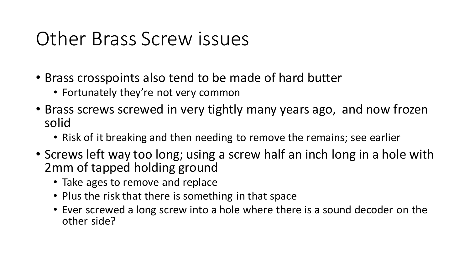#### Other Brass Screw issues

- Brass crosspoints also tend to be made of hard butter
	- Fortunately they're not very common
- Brass screws screwed in very tightly many years ago, and now frozen solid
	- Risk of it breaking and then needing to remove the remains; see earlier
- Screws left way too long; using a screw half an inch long in a hole with 2mm of tapped holding ground
	- Take ages to remove and replace
	- Plus the risk that there is something in that space
	- Ever screwed a long screw into a hole where there is a sound decoder on the other side?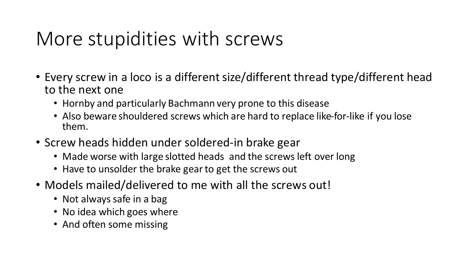# More stupidities with screws

- Every screw in a loco is a different size/different thread type/different head to the next one
	- Hornby and particularly Bachmann very prone to this disease
	- Also beware shouldered screws which are hard to replace like-for-like if you lose them.
- Screw heads hidden under soldered-in brake gear
	- Made worse with large slotted heads and the screws left over long
	- Have to unsolder the brake gear to get the screws out
- Models mailed/delivered to me with all the screws out!
	- Not always safe in a bag
	- No idea which goes where
	- And often some missing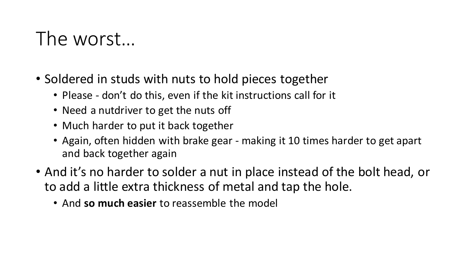### The worst…

- Soldered in studs with nuts to hold pieces together
	- Please don't do this, even if the kit instructions call for it
	- Need a nutdriver to get the nuts off
	- Much harder to put it back together
	- Again, often hidden with brake gear making it 10 times harder to get apart and back together again
- And it's no harder to solder a nut in place instead of the bolt head, or to add a little extra thickness of metal and tap the hole.
	- And **so much easier** to reassemble the model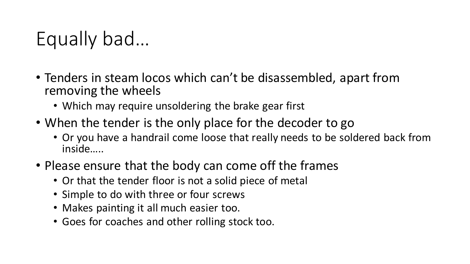# Equally bad…

- Tenders in steam locos which can't be disassembled, apart from removing the wheels
	- Which may require unsoldering the brake gear first
- When the tender is the only place for the decoder to go
	- Or you have a handrail come loose that really needs to be soldered back from inside…..
- Please ensure that the body can come off the frames
	- Or that the tender floor is not a solid piece of metal
	- Simple to do with three or four screws
	- Makes painting it all much easier too.
	- Goes for coaches and other rolling stock too.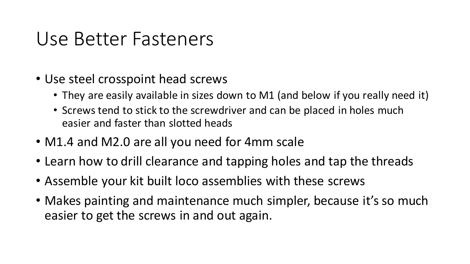#### Use Better Fasteners

- Use steel crosspoint head screws
	- They are easily available in sizes down to M1 (and below if you really need it)
	- Screws tend to stick to the screwdriver and can be placed in holes much easier and faster than slotted heads
- M1.4 and M2.0 are all you need for 4mm scale
- Learn how to drill clearance and tapping holes and tap the threads
- Assemble your kit built loco assemblies with these screws
- Makes painting and maintenance much simpler, because it's so much easier to get the screws in and out again.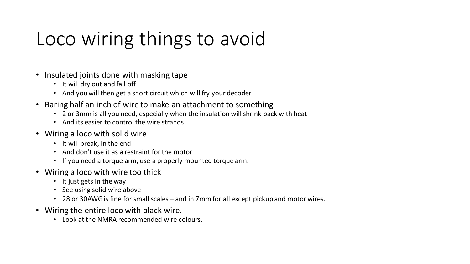# Loco wiring things to avoid

- Insulated joints done with masking tape
	- It will dry out and fall off
	- And you will then get a short circuit which will fry your decoder
- Baring half an inch of wire to make an attachment to something
	- 2 or 3mm is all you need, especially when the insulation will shrink back with heat
	- And its easier to control the wire strands
- Wiring a loco with solid wire
	- It will break, in the end
	- And don't use it as a restraint for the motor
	- If you need a torque arm, use a properly mounted torque arm.
- Wiring a loco with wire too thick
	- It just gets in the way
	- See using solid wire above
	- 28 or 30AWG is fine for small scales and in 7mm for all except pickup and motor wires.
- Wiring the entire loco with black wire.
	- Look at the NMRA recommended wire colours,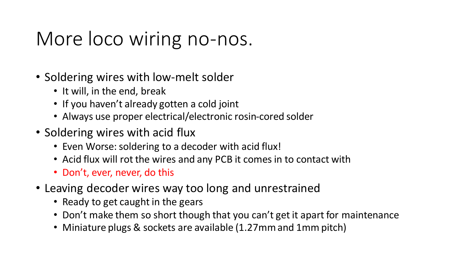### More loco wiring no-nos.

- Soldering wires with low-melt solder
	- It will, in the end, break
	- If you haven't already gotten a cold joint
	- Always use proper electrical/electronic rosin-cored solder
- Soldering wires with acid flux
	- Even Worse: soldering to a decoder with acid flux!
	- Acid flux will rot the wires and any PCB it comes in to contact with
	- Don't, ever, never, do this
- Leaving decoder wires way too long and unrestrained
	- Ready to get caught in the gears
	- Don't make them so short though that you can't get it apart for maintenance
	- Miniature plugs & sockets are available (1.27mm and 1mm pitch)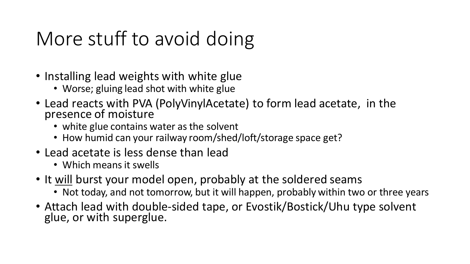# More stuff to avoid doing

- Installing lead weights with white glue
	- Worse; gluing lead shot with white glue
- Lead reacts with PVA (PolyVinylAcetate) to form lead acetate, in the presence of moisture
	- white glue contains water as the solvent
	- How humid can your railway room/shed/loft/storage space get?
- Lead acetate is less dense than lead
	- Which means it swells
- It will burst your model open, probably at the soldered seams
	- Not today, and not tomorrow, but it will happen, probably within two or three years
- Attach lead with double-sided tape, or Evostik/Bostick/Uhu type solvent glue, or with superglue.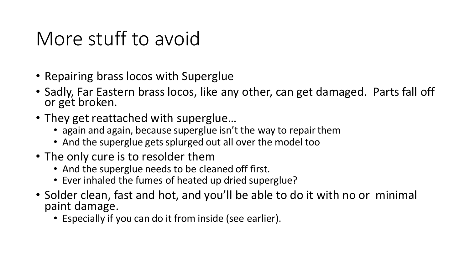### More stuff to avoid

- Repairing brass locos with Superglue
- Sadly, Far Eastern brass locos, like any other, can get damaged. Parts fall off or get broken.
- They get reattached with superglue…
	- again and again, because superglue isn't the way to repair them
	- And the superglue gets splurged out all over the model too
- The only cure is to resolder them
	- And the superglue needs to be cleaned off first.
	- Ever inhaled the fumes of heated up dried superglue?
- Solder clean, fast and hot, and you'll be able to do it with no or minimal paint damage.
	- Especially if you can do it from inside (see earlier).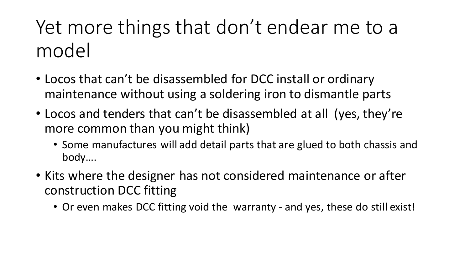# Yet more things that don't endear me to a model

- Locos that can't be disassembled for DCC install or ordinary maintenance without using a soldering iron to dismantle parts
- Locos and tenders that can't be disassembled at all (yes, they're more common than you might think)
	- Some manufactures will add detail parts that are glued to both chassis and body….
- Kits where the designer has not considered maintenance or after construction DCC fitting
	- Or even makes DCC fitting void the warranty and yes, these do still exist!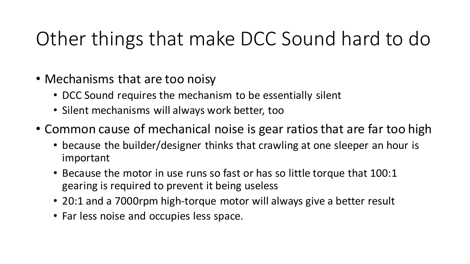# Other things that make DCC Sound hard to do

- Mechanisms that are too noisy
	- DCC Sound requires the mechanism to be essentially silent
	- Silent mechanisms will always work better, too
- Common cause of mechanical noise is gear ratios that are far too high
	- because the builder/designer thinks that crawling at one sleeper an hour is important
	- Because the motor in use runs so fast or has so little torque that 100:1 gearing is required to prevent it being useless
	- 20:1 and a 7000rpm high-torque motor will always give a better result
	- Far less noise and occupies less space.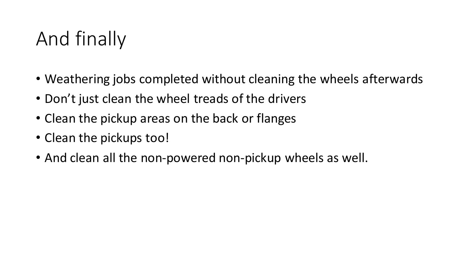# And finally

- Weathering jobs completed without cleaning the wheels afterwards
- Don't just clean the wheel treads of the drivers
- Clean the pickup areas on the back or flanges
- Clean the pickups too!
- And clean all the non-powered non-pickup wheels as well.